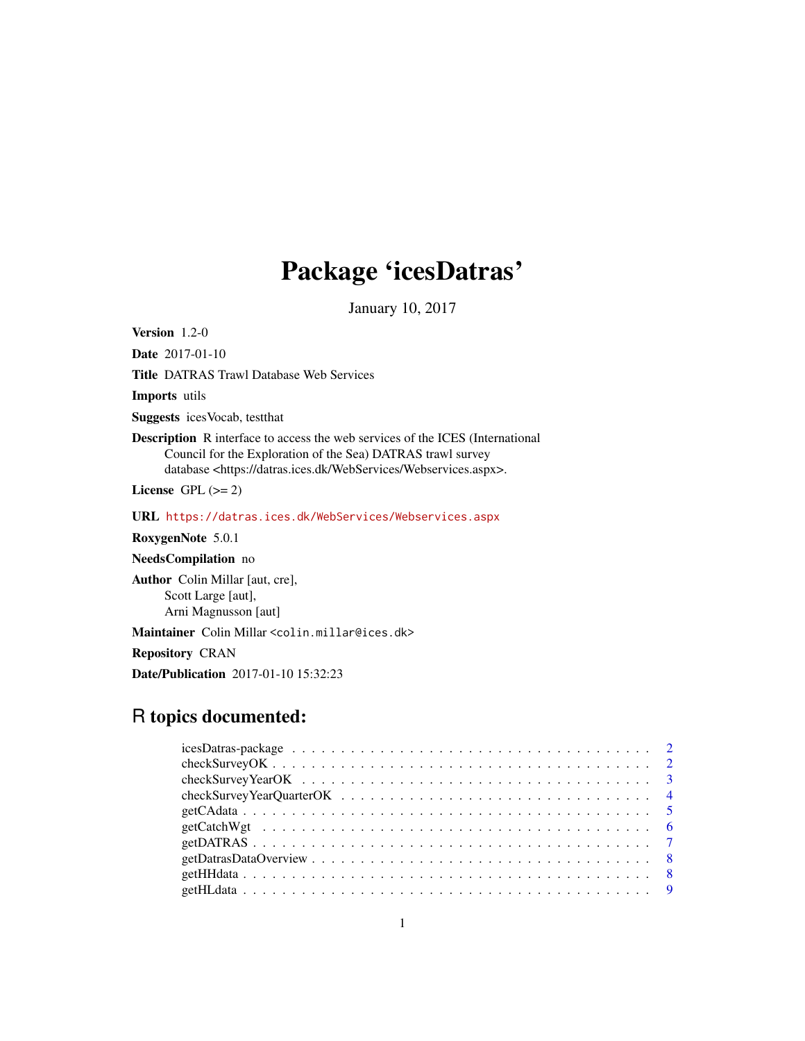## Package 'icesDatras'

January 10, 2017

Version 1.2-0

Date 2017-01-10

Title DATRAS Trawl Database Web Services

Imports utils

Suggests icesVocab, testthat

Description R interface to access the web services of the ICES (International Council for the Exploration of the Sea) DATRAS trawl survey database <https://datras.ices.dk/WebServices/Webservices.aspx>.

License GPL  $(>= 2)$ 

URL <https://datras.ices.dk/WebServices/Webservices.aspx>

RoxygenNote 5.0.1

NeedsCompilation no

Author Colin Millar [aut, cre], Scott Large [aut], Arni Magnusson [aut]

Maintainer Colin Millar <colin.millar@ices.dk>

Repository CRAN

Date/Publication 2017-01-10 15:32:23

## R topics documented:

| $get CatchWgt \dots \dots \dots \dots \dots \dots \dots \dots \dots \dots \dots \dots \dots \dots \dots \dots$ |  |
|----------------------------------------------------------------------------------------------------------------|--|
|                                                                                                                |  |
|                                                                                                                |  |
|                                                                                                                |  |
|                                                                                                                |  |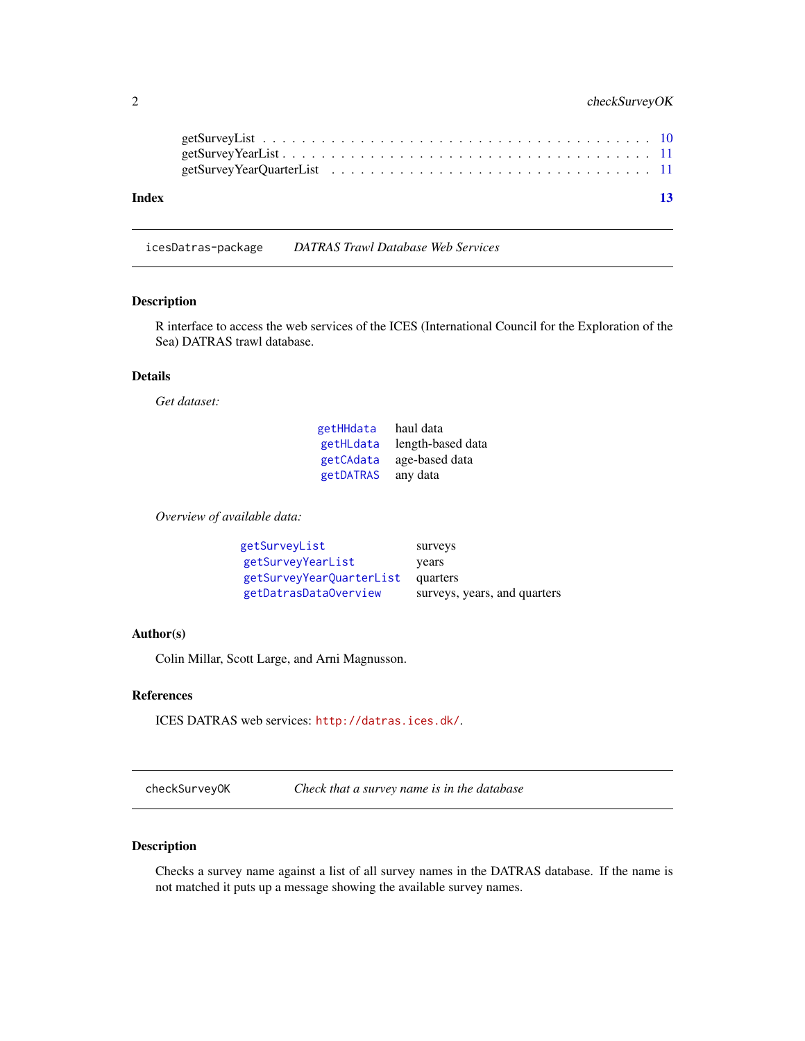## <span id="page-1-0"></span>2 checkSurveyOK

| Index |  |  |  |  |  |  |  |  |  |  |  |  |  |  |  |  | 13 |
|-------|--|--|--|--|--|--|--|--|--|--|--|--|--|--|--|--|----|
|       |  |  |  |  |  |  |  |  |  |  |  |  |  |  |  |  |    |

<span id="page-1-1"></span>icesDatras-package *DATRAS Trawl Database Web Services*

#### Description

R interface to access the web services of the ICES (International Council for the Exploration of the Sea) DATRAS trawl database.

## Details

*Get dataset:*

| getHHdata | haul data         |
|-----------|-------------------|
| getHLdata | length-based data |
| getCAdata | age-based data    |
| getDATRAS | any data          |

*Overview of available data:*

| getSurveyList            | surveys                      |
|--------------------------|------------------------------|
| getSurveyYearList        | years                        |
| getSurveyYearQuarterList | quarters                     |
| getDatrasDataOverview    | surveys, years, and quarters |

#### Author(s)

Colin Millar, Scott Large, and Arni Magnusson.

## References

ICES DATRAS web services: <http://datras.ices.dk/>.

<span id="page-1-2"></span>checkSurveyOK *Check that a survey name is in the database*

#### Description

Checks a survey name against a list of all survey names in the DATRAS database. If the name is not matched it puts up a message showing the available survey names.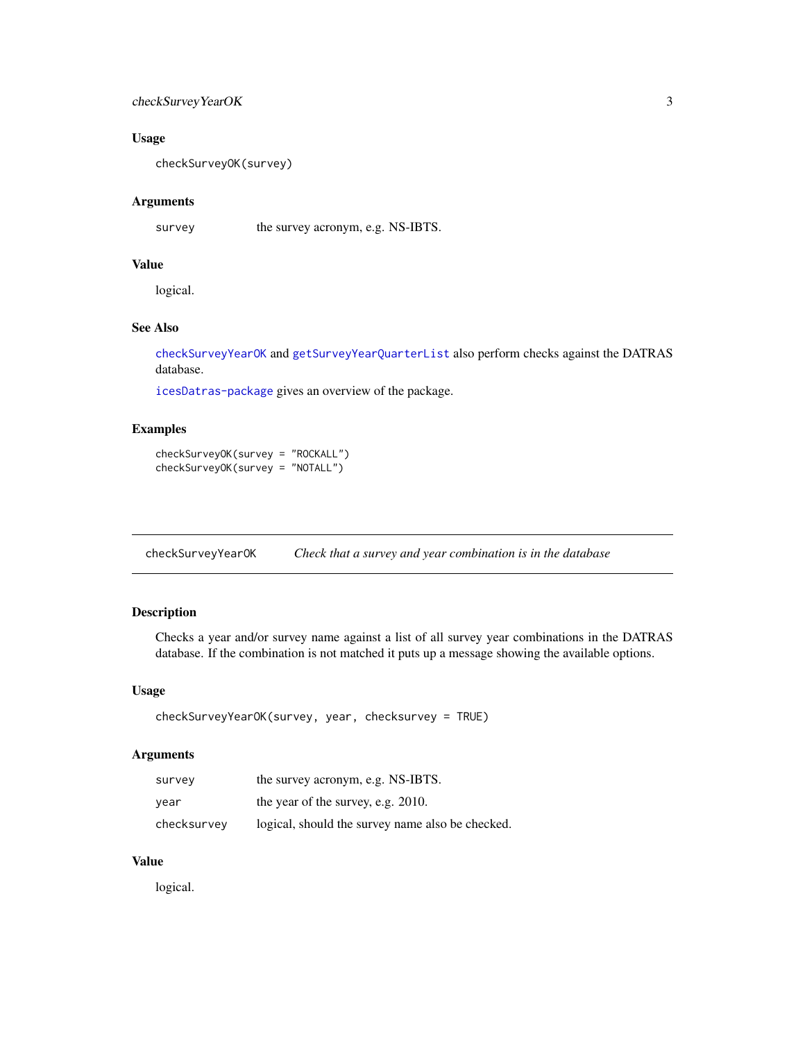## <span id="page-2-0"></span>checkSurveyYearOK 3

## Usage

checkSurveyOK(survey)

## Arguments

survey the survey acronym, e.g. NS-IBTS.

## Value

logical.

## See Also

[checkSurveyYearOK](#page-2-1) and [getSurveyYearQuarterList](#page-10-2) also perform checks against the DATRAS database.

[icesDatras-package](#page-1-1) gives an overview of the package.

## Examples

checkSurveyOK(survey = "ROCKALL") checkSurveyOK(survey = "NOTALL")

<span id="page-2-1"></span>checkSurveyYearOK *Check that a survey and year combination is in the database*

## Description

Checks a year and/or survey name against a list of all survey year combinations in the DATRAS database. If the combination is not matched it puts up a message showing the available options.

#### Usage

```
checkSurveyYearOK(survey, year, checksurvey = TRUE)
```
#### Arguments

| survey      | the survey acronym, e.g. NS-IBTS.                |
|-------------|--------------------------------------------------|
| year        | the year of the survey, e.g. 2010.               |
| checksurvey | logical, should the survey name also be checked. |

## Value

logical.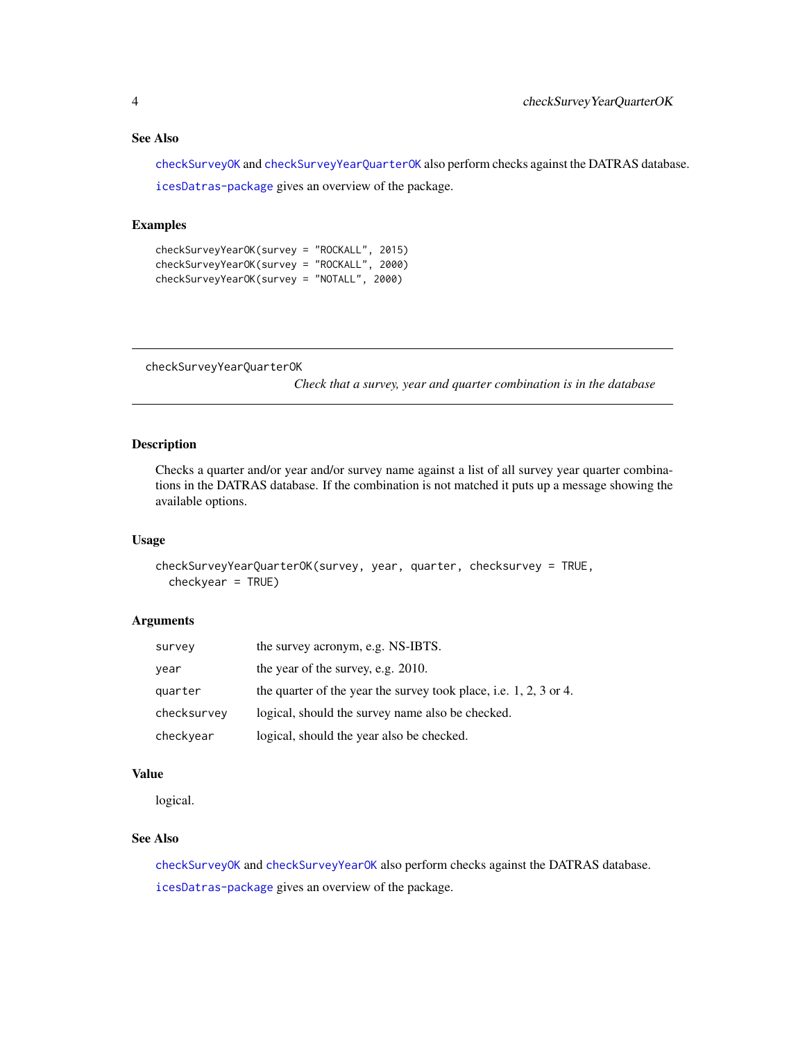#### <span id="page-3-0"></span>See Also

[checkSurveyOK](#page-1-2) and [checkSurveyYearQuarterOK](#page-3-1) also perform checks against the DATRAS database. [icesDatras-package](#page-1-1) gives an overview of the package.

#### Examples

```
checkSurveyYearOK(survey = "ROCKALL", 2015)
checkSurveyYearOK(survey = "ROCKALL", 2000)
checkSurveyYearOK(survey = "NOTALL", 2000)
```
<span id="page-3-1"></span>checkSurveyYearQuarterOK

*Check that a survey, year and quarter combination is in the database*

#### Description

Checks a quarter and/or year and/or survey name against a list of all survey year quarter combinations in the DATRAS database. If the combination is not matched it puts up a message showing the available options.

#### Usage

```
checkSurveyYearQuarterOK(survey, year, quarter, checksurvey = TRUE,
  checkyear = TRUE)
```
#### Arguments

| survey      | the survey acronym, e.g. NS-IBTS.                                   |
|-------------|---------------------------------------------------------------------|
| year        | the year of the survey, e.g. 2010.                                  |
| quarter     | the quarter of the year the survey took place, i.e. $1, 2, 3$ or 4. |
| checksurvey | logical, should the survey name also be checked.                    |
| checkyear   | logical, should the year also be checked.                           |

## Value

logical.

## See Also

[checkSurveyOK](#page-1-2) and [checkSurveyYearOK](#page-2-1) also perform checks against the DATRAS database. [icesDatras-package](#page-1-1) gives an overview of the package.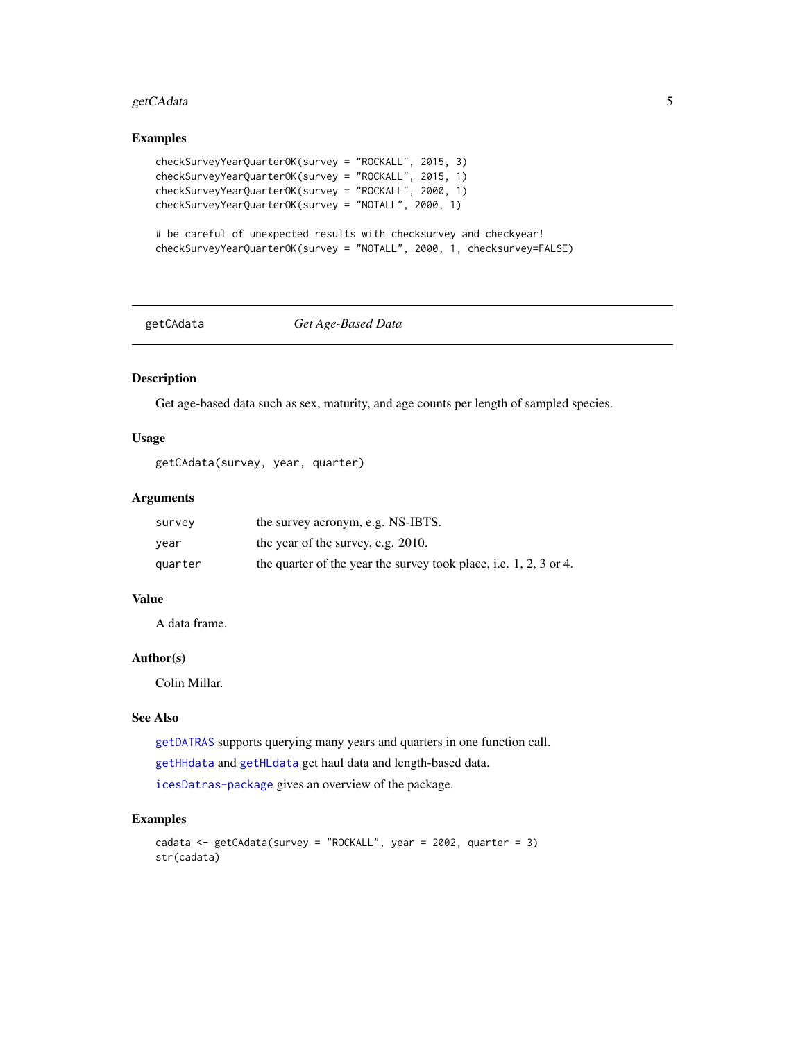## <span id="page-4-0"></span>getCAdata 5

#### Examples

```
checkSurveyYearQuarterOK(survey = "ROCKALL", 2015, 3)
checkSurveyYearQuarterOK(survey = "ROCKALL", 2015, 1)
checkSurveyYearQuarterOK(survey = "ROCKALL", 2000, 1)
checkSurveyYearQuarterOK(survey = "NOTALL", 2000, 1)
```

```
# be careful of unexpected results with checksurvey and checkyear!
checkSurveyYearQuarterOK(survey = "NOTALL", 2000, 1, checksurvey=FALSE)
```
#### <span id="page-4-1"></span>getCAdata *Get Age-Based Data*

## Description

Get age-based data such as sex, maturity, and age counts per length of sampled species.

#### Usage

```
getCAdata(survey, year, quarter)
```
#### Arguments

| survey  | the survey acronym, e.g. NS-IBTS.                                   |
|---------|---------------------------------------------------------------------|
| vear    | the year of the survey, e.g. 2010.                                  |
| quarter | the quarter of the year the survey took place, i.e. $1, 2, 3$ or 4. |

#### Value

A data frame.

## Author(s)

Colin Millar.

#### See Also

[getDATRAS](#page-6-1) supports querying many years and quarters in one function call. [getHHdata](#page-7-1) and [getHLdata](#page-8-1) get haul data and length-based data. [icesDatras-package](#page-1-1) gives an overview of the package.

#### Examples

```
cadata <- getCAdata(survey = "ROCKALL", year = 2002, quarter = 3)
str(cadata)
```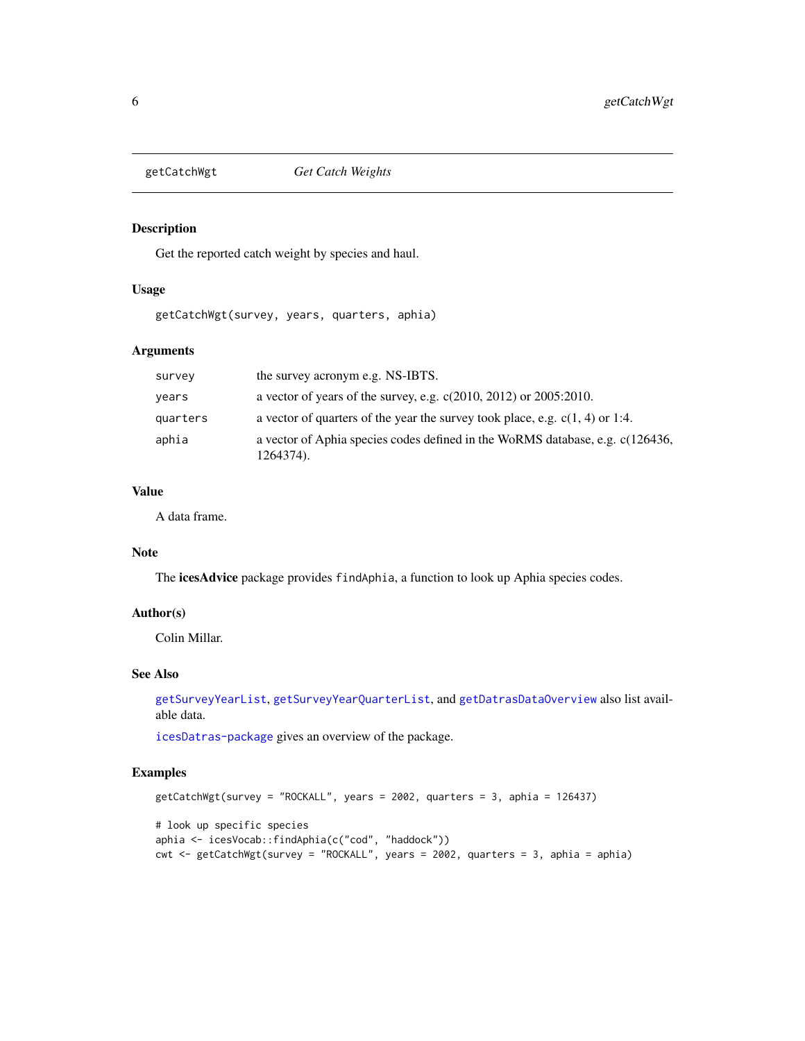<span id="page-5-0"></span>

#### Description

Get the reported catch weight by species and haul.

## Usage

getCatchWgt(survey, years, quarters, aphia)

## Arguments

| survey   | the survey acronym e.g. NS-IBTS.                                                           |
|----------|--------------------------------------------------------------------------------------------|
| years    | a vector of years of the survey, e.g. $c(2010, 2012)$ or $2005:2010$ .                     |
| quarters | a vector of quarters of the year the survey took place, e.g. $c(1, 4)$ or 1:4.             |
| aphia    | a vector of Aphia species codes defined in the WoRMS database, e.g. c(126436,<br>1264374). |

## Value

A data frame.

#### Note

The icesAdvice package provides findAphia, a function to look up Aphia species codes.

## Author(s)

Colin Millar.

#### See Also

[getSurveyYearList](#page-10-1), [getSurveyYearQuarterList](#page-10-2), and [getDatrasDataOverview](#page-7-2) also list available data.

[icesDatras-package](#page-1-1) gives an overview of the package.

## Examples

```
getCatchWgt(survey = "ROCKALL", years = 2002, quarters = 3, aphia = 126437)
# look up specific species
aphia <- icesVocab::findAphia(c("cod", "haddock"))
cwt <- getCatchWgt(survey = "ROCKALL", years = 2002, quarters = 3, aphia = aphia)
```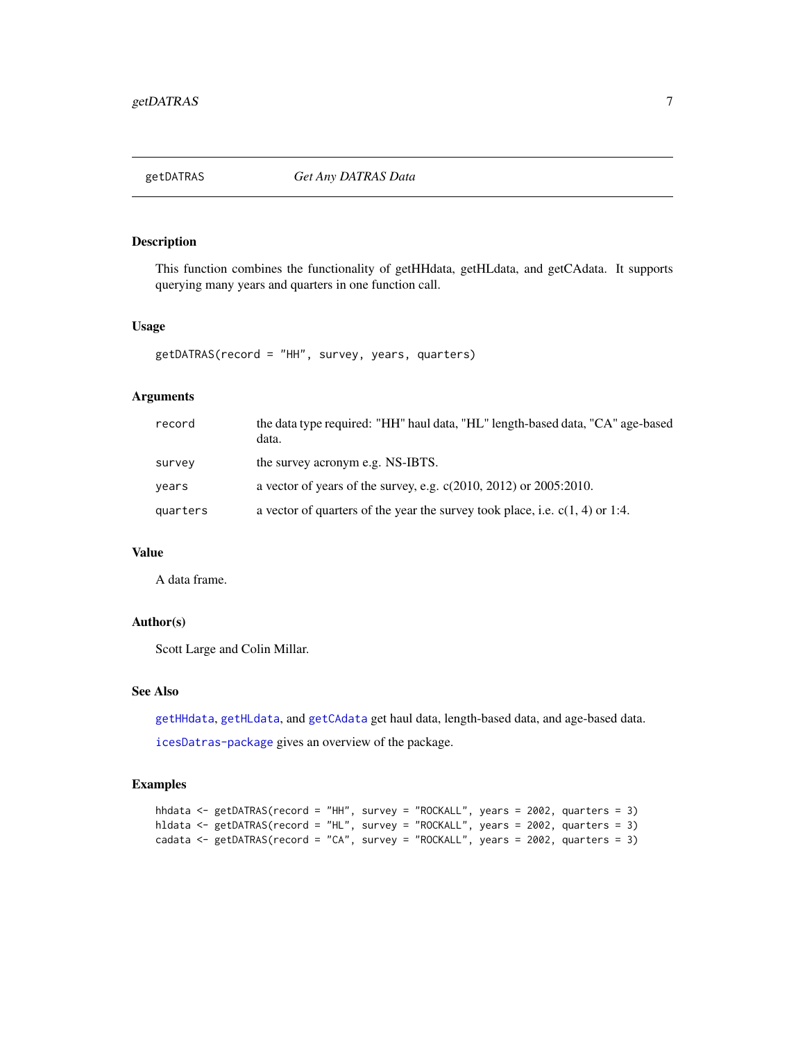<span id="page-6-1"></span><span id="page-6-0"></span>

#### Description

This function combines the functionality of getHHdata, getHLdata, and getCAdata. It supports querying many years and quarters in one function call.

#### Usage

```
getDATRAS(record = "HH", survey, years, quarters)
```
#### Arguments

| record   | the data type required: "HH" haul data, "HL" length-based data, "CA" age-based<br>data. |
|----------|-----------------------------------------------------------------------------------------|
| survey   | the survey acronym e.g. NS-IBTS.                                                        |
| years    | a vector of years of the survey, e.g. $c(2010, 2012)$ or $2005:2010$ .                  |
| quarters | a vector of quarters of the year the survey took place, i.e. $c(1, 4)$ or 1:4.          |

#### Value

A data frame.

## Author(s)

Scott Large and Colin Millar.

#### See Also

[getHHdata](#page-7-1), [getHLdata](#page-8-1), and [getCAdata](#page-4-1) get haul data, length-based data, and age-based data. [icesDatras-package](#page-1-1) gives an overview of the package.

## Examples

```
hhdata <- getDATRAS(record = "HH", survey = "ROCKALL", years = 2002, quarters = 3)
hldata <- getDATRAS(record = "HL", survey = "ROCKALL", years = 2002, quarters = 3)
cadata <- getDATRAS(record = "CA", survey = "ROCKALL", years = 2002, quarters = 3)
```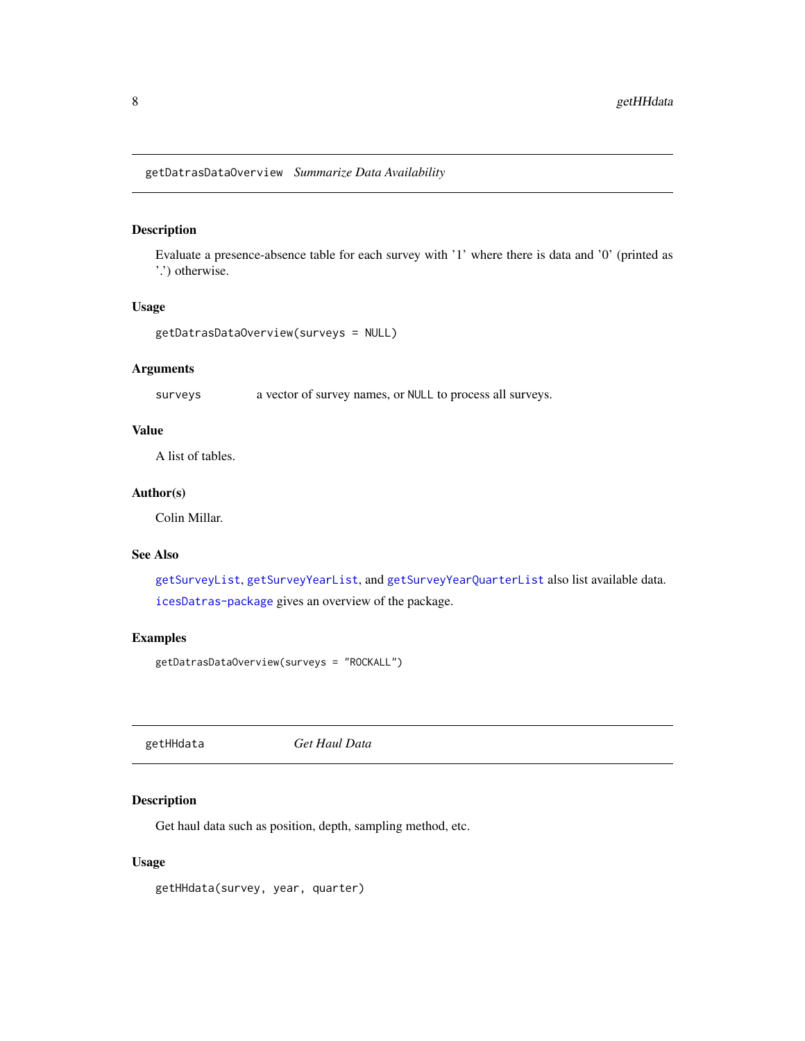<span id="page-7-2"></span><span id="page-7-0"></span>getDatrasDataOverview *Summarize Data Availability*

#### Description

Evaluate a presence-absence table for each survey with '1' where there is data and '0' (printed as '.') otherwise.

#### Usage

```
getDatrasDataOverview(surveys = NULL)
```
## Arguments

surveys a vector of survey names, or NULL to process all surveys.

#### Value

A list of tables.

## Author(s)

Colin Millar.

#### See Also

[getSurveyList](#page-9-1), [getSurveyYearList](#page-10-1), and [getSurveyYearQuarterList](#page-10-2) also list available data. [icesDatras-package](#page-1-1) gives an overview of the package.

## Examples

```
getDatrasDataOverview(surveys = "ROCKALL")
```
<span id="page-7-1"></span>getHHdata *Get Haul Data*

## Description

Get haul data such as position, depth, sampling method, etc.

#### Usage

getHHdata(survey, year, quarter)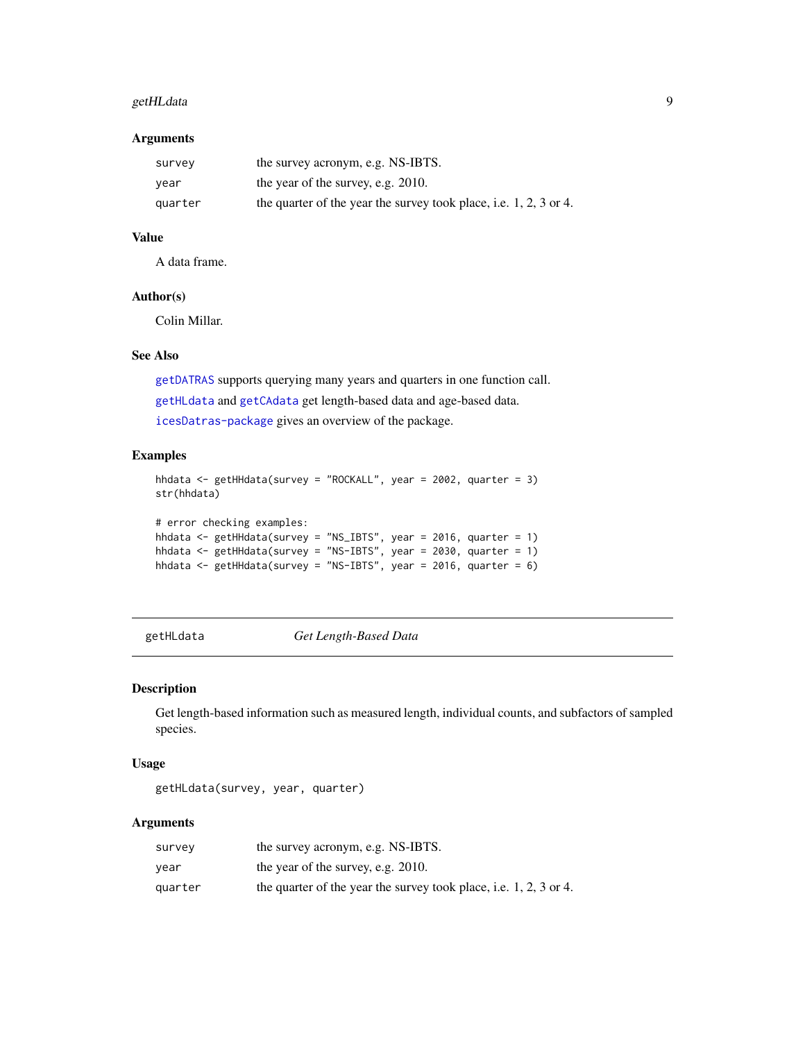## <span id="page-8-0"></span>getHLdata 9

#### Arguments

| survey  | the survey acronym, e.g. NS-IBTS.                                 |
|---------|-------------------------------------------------------------------|
| year    | the year of the survey, e.g. 2010.                                |
| quarter | the quarter of the year the survey took place, i.e. 1, 2, 3 or 4. |

#### Value

A data frame.

## Author(s)

Colin Millar.

## See Also

[getDATRAS](#page-6-1) supports querying many years and quarters in one function call. [getHLdata](#page-8-1) and [getCAdata](#page-4-1) get length-based data and age-based data. [icesDatras-package](#page-1-1) gives an overview of the package.

## Examples

```
hhdata <- getHHdata(survey = "ROCKALL", year = 2002, quarter = 3)
str(hhdata)
# error checking examples:
hhdata <- getHHdata(survey = "NS_IBTS", year = 2016, quarter = 1)
hhdata <- getHHdata(survey = "NS-IBTS", year = 2030, quarter = 1)
hhdata <- getHHdata(survey = "NS-IBTS", year = 2016, quarter = 6)
```
<span id="page-8-1"></span>getHLdata *Get Length-Based Data*

#### Description

Get length-based information such as measured length, individual counts, and subfactors of sampled species.

#### Usage

```
getHLdata(survey, year, quarter)
```
#### Arguments

| survey  | the survey acronym, e.g. NS-IBTS.                                   |
|---------|---------------------------------------------------------------------|
| vear    | the year of the survey, e.g. 2010.                                  |
| quarter | the quarter of the year the survey took place, i.e. $1, 2, 3$ or 4. |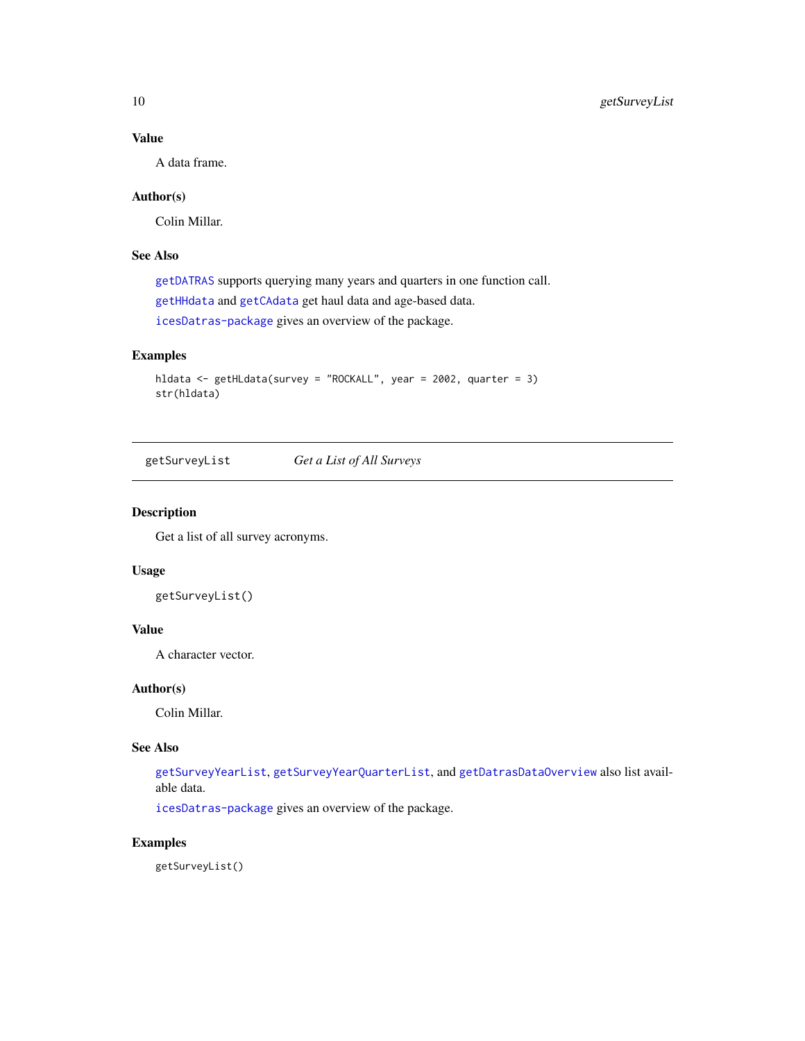## Value

A data frame.

## Author(s)

Colin Millar.

## See Also

[getDATRAS](#page-6-1) supports querying many years and quarters in one function call. [getHHdata](#page-7-1) and [getCAdata](#page-4-1) get haul data and age-based data. [icesDatras-package](#page-1-1) gives an overview of the package.

## Examples

```
hldata <- getHLdata(survey = "ROCKALL", year = 2002, quarter = 3)
str(hldata)
```
<span id="page-9-1"></span>getSurveyList *Get a List of All Surveys*

#### Description

Get a list of all survey acronyms.

#### Usage

getSurveyList()

## Value

A character vector.

#### Author(s)

Colin Millar.

## See Also

[getSurveyYearList](#page-10-1), [getSurveyYearQuarterList](#page-10-2), and [getDatrasDataOverview](#page-7-2) also list available data.

[icesDatras-package](#page-1-1) gives an overview of the package.

#### Examples

getSurveyList()

<span id="page-9-0"></span>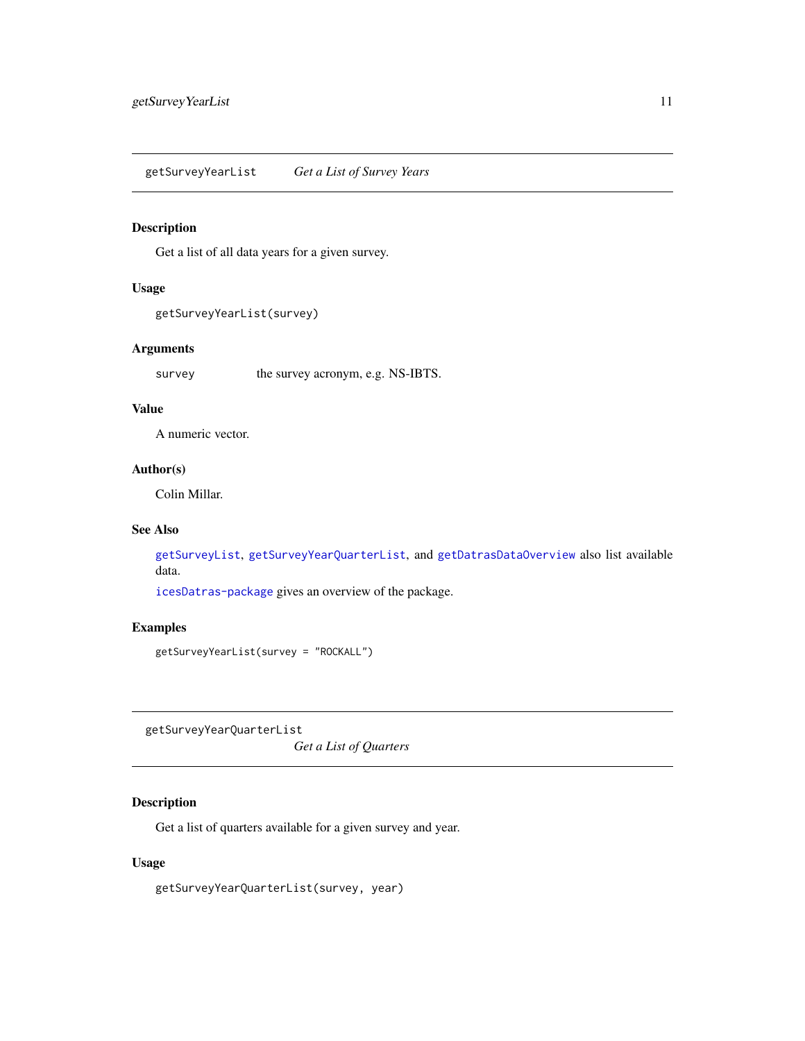<span id="page-10-1"></span><span id="page-10-0"></span>getSurveyYearList *Get a List of Survey Years*

#### Description

Get a list of all data years for a given survey.

## Usage

```
getSurveyYearList(survey)
```
#### Arguments

survey the survey acronym, e.g. NS-IBTS.

#### Value

A numeric vector.

## Author(s)

Colin Millar.

## See Also

[getSurveyList](#page-9-1), [getSurveyYearQuarterList](#page-10-2), and [getDatrasDataOverview](#page-7-2) also list available data.

[icesDatras-package](#page-1-1) gives an overview of the package.

#### Examples

getSurveyYearList(survey = "ROCKALL")

<span id="page-10-2"></span>getSurveyYearQuarterList

*Get a List of Quarters*

## Description

Get a list of quarters available for a given survey and year.

#### Usage

getSurveyYearQuarterList(survey, year)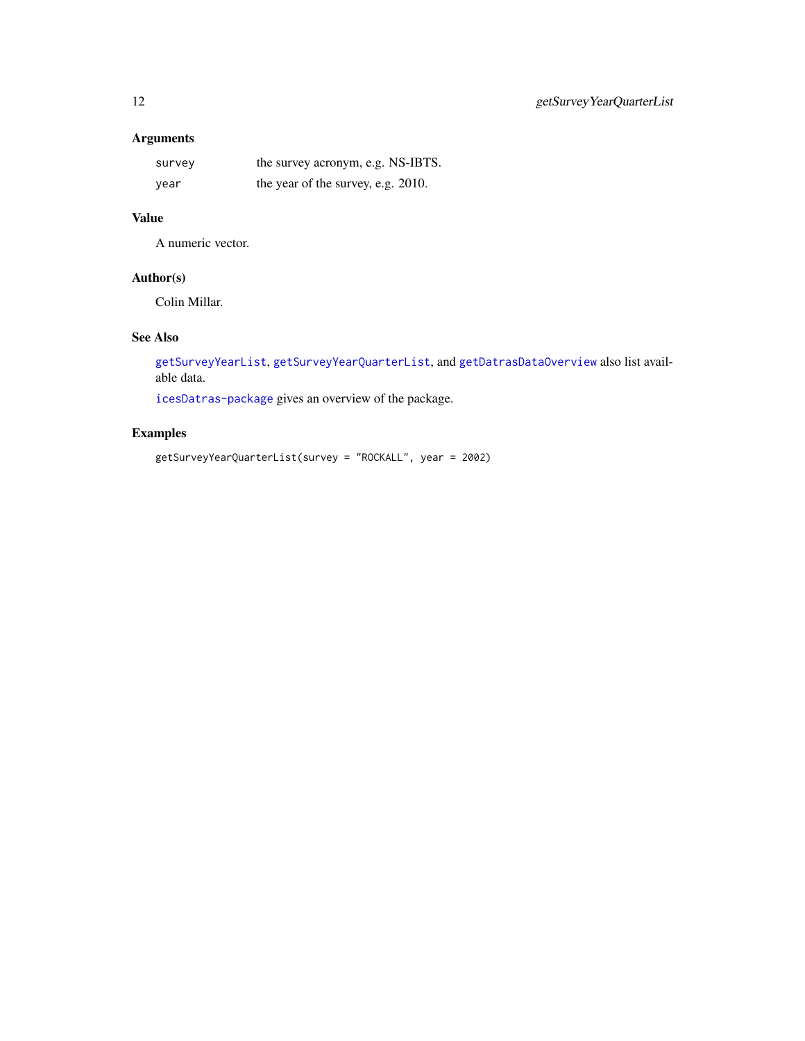## <span id="page-11-0"></span>Arguments

| survey | the survey acronym, e.g. NS-IBTS.  |
|--------|------------------------------------|
| vear   | the year of the survey, e.g. 2010. |

## Value

A numeric vector.

## Author(s)

Colin Millar.

## See Also

[getSurveyYearList](#page-10-1), [getSurveyYearQuarterList](#page-10-2), and [getDatrasDataOverview](#page-7-2) also list available data.

[icesDatras-package](#page-1-1) gives an overview of the package.

## Examples

getSurveyYearQuarterList(survey = "ROCKALL", year = 2002)